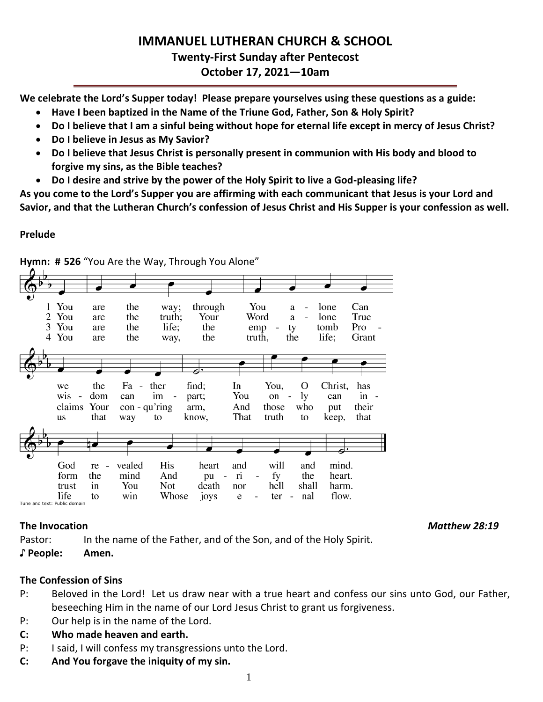# **IMMANUEL LUTHERAN CHURCH & SCHOOL Twenty-First Sunday after Pentecost October 17, 2021—10am**

**We celebrate the Lord's Supper today! Please prepare yourselves using these questions as a guide:**

- **Have I been baptized in the Name of the Triune God, Father, Son & Holy Spirit?**
- **Do I believe that I am a sinful being without hope for eternal life except in mercy of Jesus Christ?**
- **Do I believe in Jesus as My Savior?**
- **Do I believe that Jesus Christ is personally present in communion with His body and blood to forgive my sins, as the Bible teaches?**
- **Do I desire and strive by the power of the Holy Spirit to live a God-pleasing life?**

**As you come to the Lord's Supper you are affirming with each communicant that Jesus is your Lord and Savior, and that the Lutheran Church's confession of Jesus Christ and His Supper is your confession as well.**

### **Prelude**



**Hymn: # 526** "You Are the Way, Through You Alone"

**The Invocation** *Matthew 28:19*

Pastor: In the name of the Father, and of the Son, and of the Holy Spirit.

## **♪ People: Amen.**

## **The Confession of Sins**

- P: Beloved in the Lord! Let us draw near with a true heart and confess our sins unto God, our Father, beseeching Him in the name of our Lord Jesus Christ to grant us forgiveness.
- P: Our help is in the name of the Lord.
- **C: Who made heaven and earth.**
- P: I said, I will confess my transgressions unto the Lord.
- **C: And You forgave the iniquity of my sin.**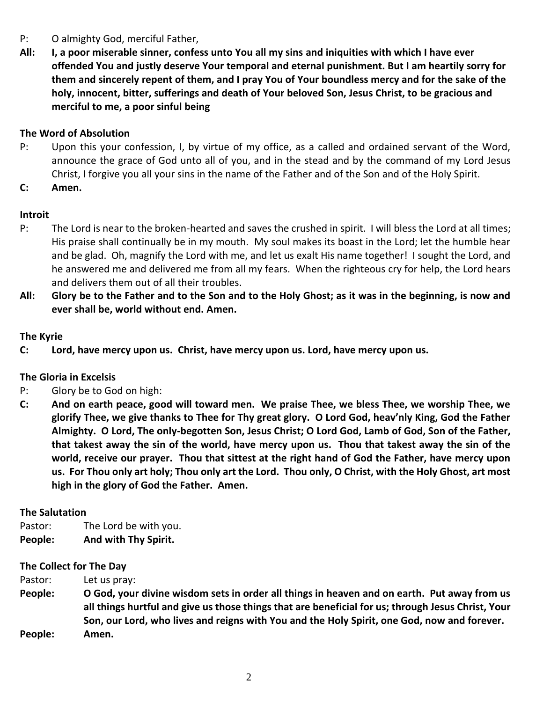## P: O almighty God, merciful Father,

**All: I, a poor miserable sinner, confess unto You all my sins and iniquities with which I have ever offended You and justly deserve Your temporal and eternal punishment. But I am heartily sorry for them and sincerely repent of them, and I pray You of Your boundless mercy and for the sake of the holy, innocent, bitter, sufferings and death of Your beloved Son, Jesus Christ, to be gracious and merciful to me, a poor sinful being**

#### **The Word of Absolution**

- P: Upon this your confession, I, by virtue of my office, as a called and ordained servant of the Word, announce the grace of God unto all of you, and in the stead and by the command of my Lord Jesus Christ, I forgive you all your sins in the name of the Father and of the Son and of the Holy Spirit.
- **C: Amen.**

#### **Introit**

- P: The Lord is near to the broken-hearted and saves the crushed in spirit. I will bless the Lord at all times; His praise shall continually be in my mouth. My soul makes its boast in the Lord; let the humble hear and be glad. Oh, magnify the Lord with me, and let us exalt His name together! I sought the Lord, and he answered me and delivered me from all my fears. When the righteous cry for help, the Lord hears and delivers them out of all their troubles.
- **All: Glory be to the Father and to the Son and to the Holy Ghost; as it was in the beginning, is now and ever shall be, world without end. Amen.**

#### **The Kyrie**

**C: Lord, have mercy upon us. Christ, have mercy upon us. Lord, have mercy upon us.**

#### **The Gloria in Excelsis**

- P: Glory be to God on high:
- **C: And on earth peace, good will toward men. We praise Thee, we bless Thee, we worship Thee, we glorify Thee, we give thanks to Thee for Thy great glory. O Lord God, heav'nly King, God the Father Almighty. O Lord, The only-begotten Son, Jesus Christ; O Lord God, Lamb of God, Son of the Father, that takest away the sin of the world, have mercy upon us. Thou that takest away the sin of the world, receive our prayer. Thou that sittest at the right hand of God the Father, have mercy upon us. For Thou only art holy; Thou only art the Lord. Thou only, O Christ, with the Holy Ghost, art most high in the glory of God the Father. Amen.**

#### **The Salutation**

- Pastor: The Lord be with you.
- **People: And with Thy Spirit.**

#### **The Collect for The Day**

- Pastor: Let us pray:
- **People: O God, your divine wisdom sets in order all things in heaven and on earth. Put away from us all things hurtful and give us those things that are beneficial for us; through Jesus Christ, Your Son, our Lord, who lives and reigns with You and the Holy Spirit, one God, now and forever. People: Amen.**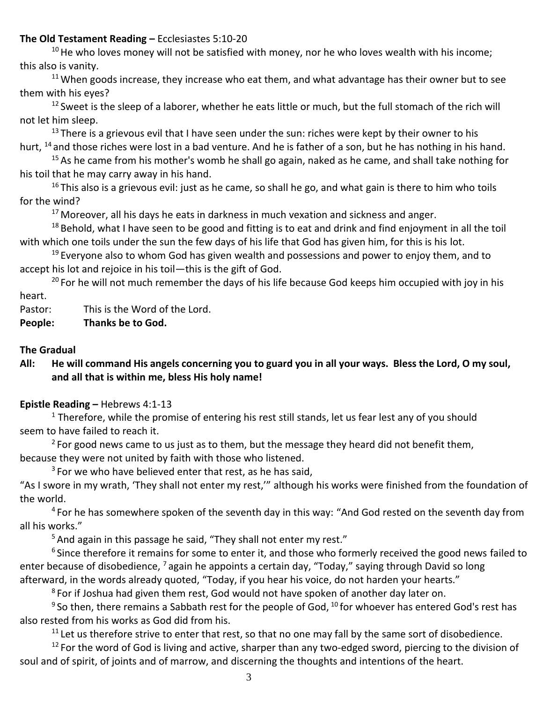#### **The Old Testament Reading –** Ecclesiastes 5:10-20

 $10$  He who loves money will not be satisfied with money, nor he who loves wealth with his income; this also is vanity.

 $11$  When goods increase, they increase who eat them, and what advantage has their owner but to see them with his eyes?

 $12$  Sweet is the sleep of a laborer, whether he eats little or much, but the full stomach of the rich will not let him sleep.

 $13$  There is a grievous evil that I have seen under the sun: riches were kept by their owner to his hurt, <sup>14</sup> and those riches were lost in a bad venture. And he is father of a son, but he has nothing in his hand.

 $15$  As he came from his mother's womb he shall go again, naked as he came, and shall take nothing for his toil that he may carry away in his hand.

 $16$  This also is a grievous evil: just as he came, so shall he go, and what gain is there to him who toils for the wind?

<sup>17</sup> Moreover, all his days he eats in darkness in much vexation and sickness and anger.

<sup>18</sup> Behold, what I have seen to be good and fitting is to eat and drink and find enjoyment in all the toil with which one toils under the sun the few days of his life that God has given him, for this is his lot.

 $19$  Everyone also to whom God has given wealth and possessions and power to enjoy them, and to accept his lot and rejoice in his toil—this is the gift of God.

<sup>20</sup> For he will not much remember the days of his life because God keeps him occupied with joy in his heart.

Pastor: This is the Word of the Lord.

**People: Thanks be to God.**

#### **The Gradual**

## **All: He will command His angels concerning you to guard you in all your ways. Bless the Lord, O my soul, and all that is within me, bless His holy name!**

#### **Epistle Reading –** Hebrews 4:1-13

 $<sup>1</sup>$  Therefore, while the promise of entering his rest still stands, let us fear lest any of you should</sup> seem to have failed to reach it.

 $2$  For good news came to us just as to them, but the message they heard did not benefit them, because they were not united by faith with those who listened.

 $3$  For we who have believed enter that rest, as he has said,

"As I swore in my wrath, 'They shall not enter my rest,'" although his works were finished from the foundation of the world.

<sup>4</sup> For he has somewhere spoken of the seventh day in this way: "And God rested on the seventh day from all his works."

 $5$  And again in this passage he said, "They shall not enter my rest."

<sup>6</sup> Since therefore it remains for some to enter it, and those who formerly received the good news failed to enter because of disobedience, <sup>7</sup> again he appoints a certain day, "Today," saying through David so long afterward, in the words already quoted, "Today, if you hear his voice, do not harden your hearts."

<sup>8</sup> For if Joshua had given them rest, God would not have spoken of another day later on.

 $9$  So then, there remains a Sabbath rest for the people of God,  $^{10}$  for whoever has entered God's rest has also rested from his works as God did from his.

 $11$  Let us therefore strive to enter that rest, so that no one may fall by the same sort of disobedience.

 $12$  For the word of God is living and active, sharper than any two-edged sword, piercing to the division of soul and of spirit, of joints and of marrow, and discerning the thoughts and intentions of the heart.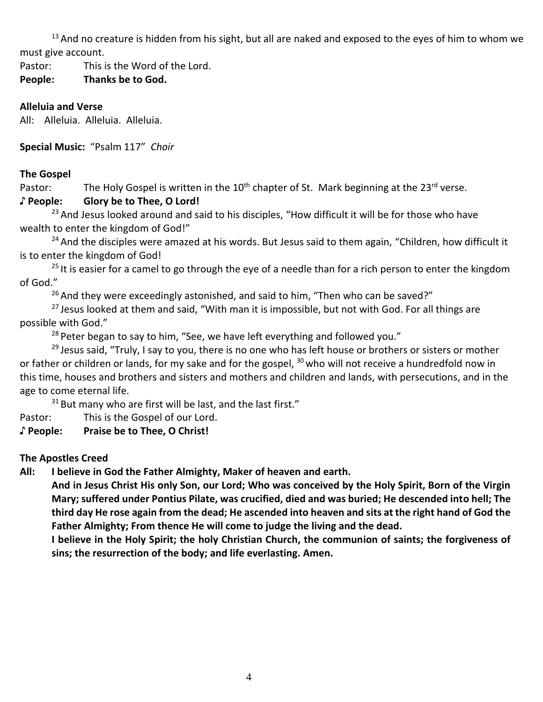$13$  And no creature is hidden from his sight, but all are naked and exposed to the eyes of him to whom we must give account.

Pastor: This is the Word of the Lord.

## **People: Thanks be to God.**

#### **Alleluia and Verse**

All: Alleluia. Alleluia. Alleluia.

**Special Music:** "Psalm 117" *Choir*

#### **The Gospel**

Pastor: The Holy Gospel is written in the 10<sup>th</sup> chapter of St. Mark beginning at the 23<sup>rd</sup> verse. **♪ People: Glory be to Thee, O Lord!**

<sup>23</sup> And Jesus looked around and said to his disciples, "How difficult it will be for those who have wealth to enter the kingdom of God!"

<sup>24</sup> And the disciples were amazed at his words. But Jesus said to them again, "Children, how difficult it is to enter the kingdom of God!

 $^{25}$  It is easier for a camel to go through the eye of a needle than for a rich person to enter the kingdom of God."

 $26$  And they were exceedingly astonished, and said to him, "Then who can be saved?"

<sup>27</sup> Jesus looked at them and said, "With man it is impossible, but not with God. For all things are possible with God."

 $28$  Peter began to say to him, "See, we have left everything and followed you."

 $29$  Jesus said, "Truly, I say to you, there is no one who has left house or brothers or sisters or mother or father or children or lands, for my sake and for the gospel, <sup>30</sup> who will not receive a hundredfold now in this time, houses and brothers and sisters and mothers and children and lands, with persecutions, and in the age to come eternal life.

 $31$  But many who are first will be last, and the last first."

Pastor: This is the Gospel of our Lord.

#### **♪ People: Praise be to Thee, O Christ!**

#### **The Apostles Creed**

**All: I believe in God the Father Almighty, Maker of heaven and earth.** 

**And in Jesus Christ His only Son, our Lord; Who was conceived by the Holy Spirit, Born of the Virgin Mary; suffered under Pontius Pilate, was crucified, died and was buried; He descended into hell; The third day He rose again from the dead; He ascended into heaven and sits at the right hand of God the Father Almighty; From thence He will come to judge the living and the dead.**

**I believe in the Holy Spirit; the holy Christian Church, the communion of saints; the forgiveness of sins; the resurrection of the body; and life everlasting. Amen.**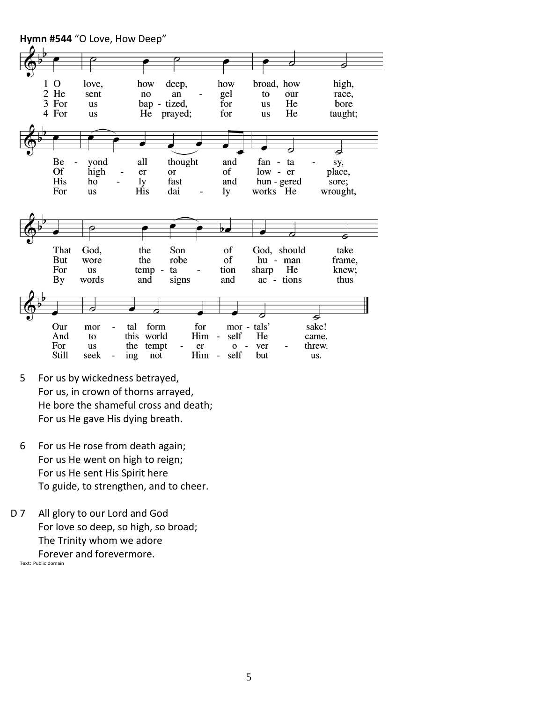

- 5 For us by wickedness betrayed, For us, in crown of thorns arrayed, He bore the shameful cross and death; For us He gave His dying breath.
- 6 For us He rose from death again; For us He went on high to reign; For us He sent His Spirit here To guide, to strengthen, and to cheer.
- D 7 All glory to our Lord and God For love so deep, so high, so broad; The Trinity whom we adore Forever and forevermore.

Text: Public domain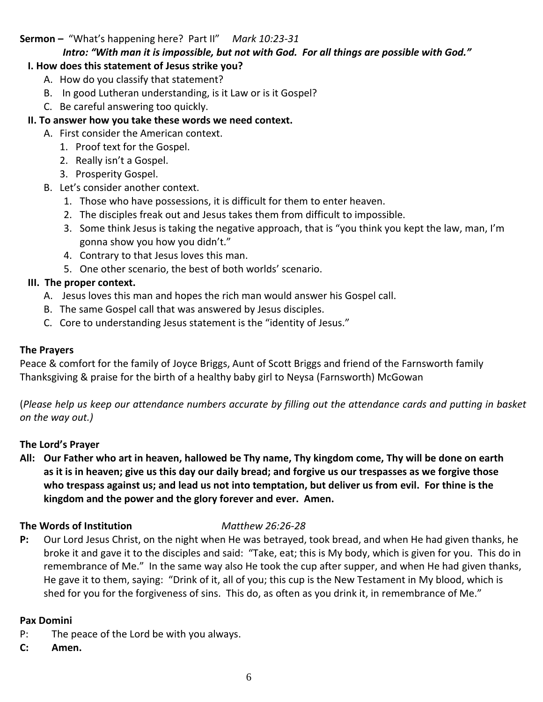## **Sermon –** "What's happening here? Part II" *Mark 10:23-31*

#### *Intro: "With man it is impossible, but not with God. For all things are possible with God."*

### **I. How does this statement of Jesus strike you?**

- A. How do you classify that statement?
- B. In good Lutheran understanding, is it Law or is it Gospel?
- C. Be careful answering too quickly.

## **II. To answer how you take these words we need context.**

- A. First consider the American context.
	- 1. Proof text for the Gospel.
	- 2. Really isn't a Gospel.
	- 3. Prosperity Gospel.
- B. Let's consider another context.
	- 1. Those who have possessions, it is difficult for them to enter heaven.
	- 2. The disciples freak out and Jesus takes them from difficult to impossible.
	- 3. Some think Jesus is taking the negative approach, that is "you think you kept the law, man, I'm gonna show you how you didn't."
	- 4. Contrary to that Jesus loves this man.
	- 5. One other scenario, the best of both worlds' scenario.

### **III. The proper context.**

- A. Jesus loves this man and hopes the rich man would answer his Gospel call.
- B. The same Gospel call that was answered by Jesus disciples.
- C. Core to understanding Jesus statement is the "identity of Jesus."

#### **The Prayers**

Peace & comfort for the family of Joyce Briggs, Aunt of Scott Briggs and friend of the Farnsworth family Thanksgiving & praise for the birth of a healthy baby girl to Neysa (Farnsworth) McGowan

(*Please help us keep our attendance numbers accurate by filling out the attendance cards and putting in basket on the way out.)*

#### **The Lord's Prayer**

**All: Our Father who art in heaven, hallowed be Thy name, Thy kingdom come, Thy will be done on earth as it is in heaven; give us this day our daily bread; and forgive us our trespasses as we forgive those who trespass against us; and lead us not into temptation, but deliver us from evil. For thine is the kingdom and the power and the glory forever and ever. Amen.**

#### **The Words of Institution** *Matthew 26:26-28*

**P:** Our Lord Jesus Christ, on the night when He was betrayed, took bread, and when He had given thanks, he broke it and gave it to the disciples and said: "Take, eat; this is My body, which is given for you. This do in remembrance of Me." In the same way also He took the cup after supper, and when He had given thanks, He gave it to them, saying: "Drink of it, all of you; this cup is the New Testament in My blood, which is shed for you for the forgiveness of sins. This do, as often as you drink it, in remembrance of Me."

#### **Pax Domini**

- P: The peace of the Lord be with you always.
- **C: Amen.**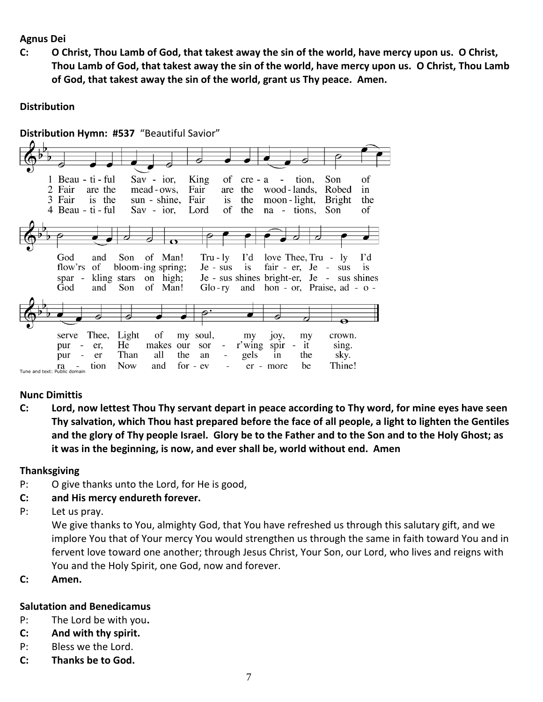#### **Agnus Dei**

**C: O Christ, Thou Lamb of God, that takest away the sin of the world, have mercy upon us. O Christ, Thou Lamb of God, that takest away the sin of the world, have mercy upon us. O Christ, Thou Lamb of God, that takest away the sin of the world, grant us Thy peace. Amen.**

#### **Distribution**



#### **Nunc Dimittis**

**C: Lord, now lettest Thou Thy servant depart in peace according to Thy word, for mine eyes have seen Thy salvation, which Thou hast prepared before the face of all people, a light to lighten the Gentiles and the glory of Thy people Israel. Glory be to the Father and to the Son and to the Holy Ghost; as it was in the beginning, is now, and ever shall be, world without end. Amen**

#### **Thanksgiving**

P: O give thanks unto the Lord, for He is good,

#### **C: and His mercy endureth forever.**

P: Let us pray.

We give thanks to You, almighty God, that You have refreshed us through this salutary gift, and we implore You that of Your mercy You would strengthen us through the same in faith toward You and in fervent love toward one another; through Jesus Christ, Your Son, our Lord, who lives and reigns with You and the Holy Spirit, one God, now and forever.

**C: Amen.**

## **Salutation and Benedicamus**

- P: The Lord be with you**.**
- **C: And with thy spirit.**
- P: Bless we the Lord.
- **C: Thanks be to God.**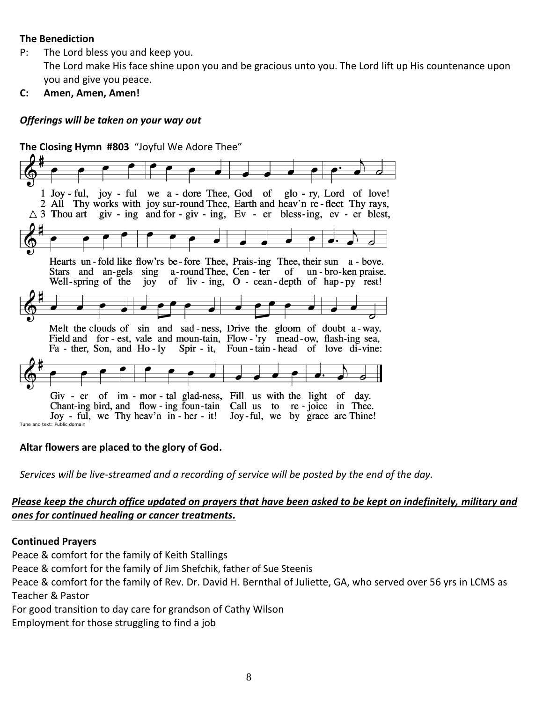#### **The Benediction**

- P: The Lord bless you and keep you. The Lord make His face shine upon you and be gracious unto you. The Lord lift up His countenance upon you and give you peace.
- **C: Amen, Amen, Amen!**

#### *Offerings will be taken on your way out*



#### **Altar flowers are placed to the glory of God.**

*Services will be live-streamed and a recording of service will be posted by the end of the day.* 

#### *Please keep the church office updated on prayers that have been asked to be kept on indefinitely, military and ones for continued healing or cancer treatments.*

#### **Continued Prayers**

Peace & comfort for the family of Keith Stallings

Peace & comfort for the family of Jim Shefchik, father of Sue Steenis

Peace & comfort for the family of Rev. Dr. David H. Bernthal of Juliette, GA, who served over 56 yrs in LCMS as Teacher & Pastor

For good transition to day care for grandson of Cathy Wilson

Employment for those struggling to find a job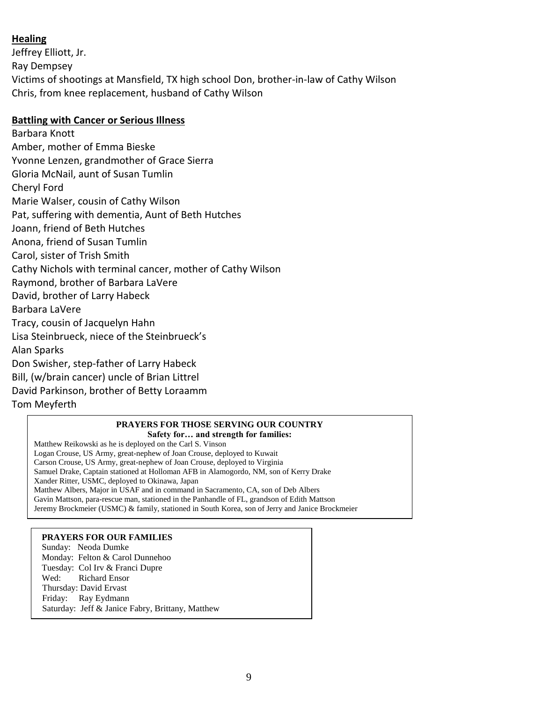## **Healing**

Jeffrey Elliott, Jr. Ray Dempsey Victims of shootings at Mansfield, TX high school Don, brother-in-law of Cathy Wilson Chris, from knee replacement, husband of Cathy Wilson

#### **Battling with Cancer or Serious Illness**

Barbara Knott Amber, mother of Emma Bieske Yvonne Lenzen, grandmother of Grace Sierra Gloria McNail, aunt of Susan Tumlin Cheryl Ford Marie Walser, cousin of Cathy Wilson Pat, suffering with dementia, Aunt of Beth Hutches Joann, friend of Beth Hutches Anona, friend of Susan Tumlin Carol, sister of Trish Smith Cathy Nichols with terminal cancer, mother of Cathy Wilson Raymond, brother of Barbara LaVere David, brother of Larry Habeck Barbara LaVere Tracy, cousin of Jacquelyn Hahn Lisa Steinbrueck, niece of the Steinbrueck's Alan Sparks Don Swisher, step-father of Larry Habeck Bill, (w/brain cancer) uncle of Brian Littrel David Parkinson, brother of Betty Loraamm

Tom Meyferth

#### **PRAYERS FOR THOSE SERVING OUR COUNTRY Safety for… and strength for families:**

Matthew Reikowski as he is deployed on the Carl S. Vinson Logan Crouse, US Army, great-nephew of Joan Crouse, deployed to Kuwait Carson Crouse, US Army, great-nephew of Joan Crouse, deployed to Virginia Samuel Drake, Captain stationed at Holloman AFB in Alamogordo, NM, son of Kerry Drake Xander Ritter, USMC, deployed to Okinawa, Japan Matthew Albers, Major in USAF and in command in Sacramento, CA, son of Deb Albers Gavin Mattson, para-rescue man, stationed in the Panhandle of FL, grandson of Edith Mattson Jeremy Brockmeier (USMC) & family, stationed in South Korea, son of Jerry and Janice Brockmeier

#### **PRAYERS FOR OUR FAMILIES**

Sunday: Neoda Dumke Monday: Felton & Carol Dunnehoo Tuesday: Col Irv & Franci Dupre Wed: Richard Ensor Thursday: David Ervast Friday: Ray Eydmann Saturday: Jeff & Janice Fabry, Brittany, Matthew